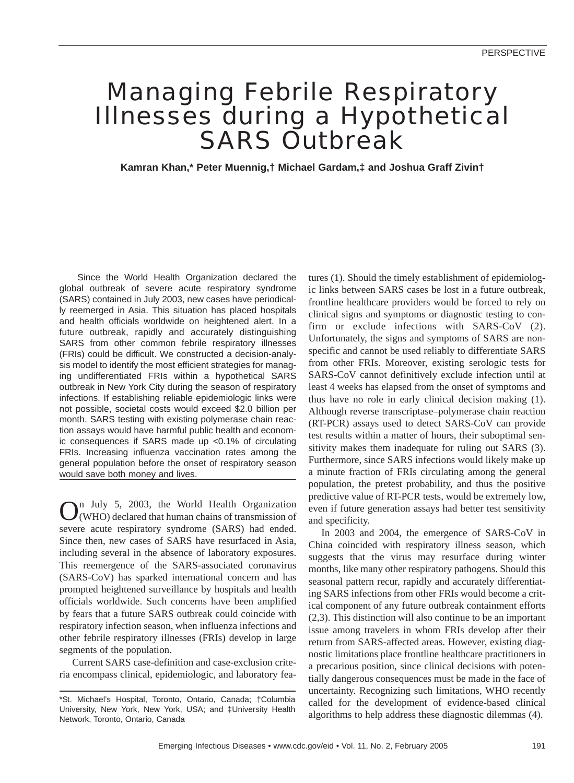# Managing Febrile Respiratory Illnesses during a Hypothetical SARS Outbreak

**Kamran Khan,\* Peter Muennig,† Michael Gardam,‡ and Joshua Graff Zivin†**

Since the World Health Organization declared the global outbreak of severe acute respiratory syndrome (SARS) contained in July 2003, new cases have periodically reemerged in Asia. This situation has placed hospitals and health officials worldwide on heightened alert. In a future outbreak, rapidly and accurately distinguishing SARS from other common febrile respiratory illnesses (FRIs) could be difficult. We constructed a decision-analysis model to identify the most efficient strategies for managing undifferentiated FRIs within a hypothetical SARS outbreak in New York City during the season of respiratory infections. If establishing reliable epidemiologic links were not possible, societal costs would exceed \$2.0 billion per month. SARS testing with existing polymerase chain reaction assays would have harmful public health and economic consequences if SARS made up <0.1% of circulating FRIs. Increasing influenza vaccination rates among the general population before the onset of respiratory season would save both money and lives.

Q<sup>n July</sup> 5, 2003, the World Health Organization (WHO) declared that human chains of transmission of severe acute respiratory syndrome (SARS) had ended. Since then, new cases of SARS have resurfaced in Asia, including several in the absence of laboratory exposures. This reemergence of the SARS-associated coronavirus (SARS-CoV) has sparked international concern and has prompted heightened surveillance by hospitals and health officials worldwide. Such concerns have been amplified by fears that a future SARS outbreak could coincide with respiratory infection season, when influenza infections and other febrile respiratory illnesses (FRIs) develop in large segments of the population.

Current SARS case-definition and case-exclusion criteria encompass clinical, epidemiologic, and laboratory features (1). Should the timely establishment of epidemiologic links between SARS cases be lost in a future outbreak, frontline healthcare providers would be forced to rely on clinical signs and symptoms or diagnostic testing to confirm or exclude infections with SARS-CoV (2). Unfortunately, the signs and symptoms of SARS are nonspecific and cannot be used reliably to differentiate SARS from other FRIs. Moreover, existing serologic tests for SARS-CoV cannot definitively exclude infection until at least 4 weeks has elapsed from the onset of symptoms and thus have no role in early clinical decision making (1). Although reverse transcriptase–polymerase chain reaction (RT-PCR) assays used to detect SARS-CoV can provide test results within a matter of hours, their suboptimal sensitivity makes them inadequate for ruling out SARS (3). Furthermore, since SARS infections would likely make up a minute fraction of FRIs circulating among the general population, the pretest probability, and thus the positive predictive value of RT-PCR tests, would be extremely low, even if future generation assays had better test sensitivity and specificity.

In 2003 and 2004, the emergence of SARS-CoV in China coincided with respiratory illness season, which suggests that the virus may resurface during winter months, like many other respiratory pathogens. Should this seasonal pattern recur, rapidly and accurately differentiating SARS infections from other FRIs would become a critical component of any future outbreak containment efforts (2,3). This distinction will also continue to be an important issue among travelers in whom FRIs develop after their return from SARS-affected areas. However, existing diagnostic limitations place frontline healthcare practitioners in a precarious position, since clinical decisions with potentially dangerous consequences must be made in the face of uncertainty. Recognizing such limitations, WHO recently called for the development of evidence-based clinical algorithms to help address these diagnostic dilemmas (4).

<sup>\*</sup>St. Michael's Hospital, Toronto, Ontario, Canada; †Columbia University, New York, New York, USA; and ‡University Health Network, Toronto, Ontario, Canada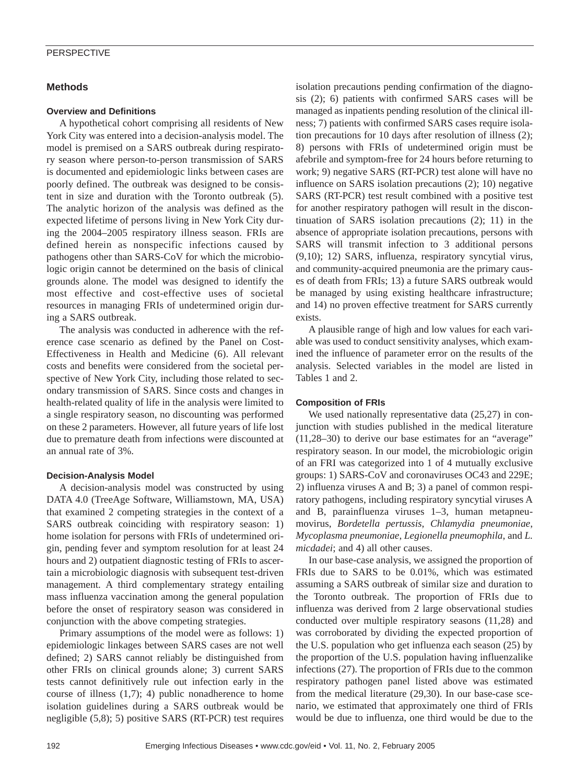## **Methods**

#### **Overview and Definitions**

A hypothetical cohort comprising all residents of New York City was entered into a decision-analysis model. The model is premised on a SARS outbreak during respiratory season where person-to-person transmission of SARS is documented and epidemiologic links between cases are poorly defined. The outbreak was designed to be consistent in size and duration with the Toronto outbreak (5). The analytic horizon of the analysis was defined as the expected lifetime of persons living in New York City during the 2004–2005 respiratory illness season. FRIs are defined herein as nonspecific infections caused by pathogens other than SARS-CoV for which the microbiologic origin cannot be determined on the basis of clinical grounds alone. The model was designed to identify the most effective and cost-effective uses of societal resources in managing FRIs of undetermined origin during a SARS outbreak.

The analysis was conducted in adherence with the reference case scenario as defined by the Panel on Cost-Effectiveness in Health and Medicine (6). All relevant costs and benefits were considered from the societal perspective of New York City, including those related to secondary transmission of SARS. Since costs and changes in health-related quality of life in the analysis were limited to a single respiratory season, no discounting was performed on these 2 parameters. However, all future years of life lost due to premature death from infections were discounted at an annual rate of 3%.

### **Decision-Analysis Model**

A decision-analysis model was constructed by using DATA 4.0 (TreeAge Software, Williamstown, MA, USA) that examined 2 competing strategies in the context of a SARS outbreak coinciding with respiratory season: 1) home isolation for persons with FRIs of undetermined origin, pending fever and symptom resolution for at least 24 hours and 2) outpatient diagnostic testing of FRIs to ascertain a microbiologic diagnosis with subsequent test-driven management. A third complementary strategy entailing mass influenza vaccination among the general population before the onset of respiratory season was considered in conjunction with the above competing strategies.

Primary assumptions of the model were as follows: 1) epidemiologic linkages between SARS cases are not well defined; 2) SARS cannot reliably be distinguished from other FRIs on clinical grounds alone; 3) current SARS tests cannot definitively rule out infection early in the course of illness  $(1,7)$ ; 4) public nonadherence to home isolation guidelines during a SARS outbreak would be negligible (5,8); 5) positive SARS (RT-PCR) test requires isolation precautions pending confirmation of the diagnosis (2); 6) patients with confirmed SARS cases will be managed as inpatients pending resolution of the clinical illness; 7) patients with confirmed SARS cases require isolation precautions for 10 days after resolution of illness (2); 8) persons with FRIs of undetermined origin must be afebrile and symptom-free for 24 hours before returning to work; 9) negative SARS (RT-PCR) test alone will have no influence on SARS isolation precautions (2); 10) negative SARS (RT-PCR) test result combined with a positive test for another respiratory pathogen will result in the discontinuation of SARS isolation precautions (2); 11) in the absence of appropriate isolation precautions, persons with SARS will transmit infection to 3 additional persons (9,10); 12) SARS, influenza, respiratory syncytial virus, and community-acquired pneumonia are the primary causes of death from FRIs; 13) a future SARS outbreak would be managed by using existing healthcare infrastructure; and 14) no proven effective treatment for SARS currently exists.

A plausible range of high and low values for each variable was used to conduct sensitivity analyses, which examined the influence of parameter error on the results of the analysis. Selected variables in the model are listed in Tables 1 and 2.

### **Composition of FRIs**

We used nationally representative data  $(25,27)$  in conjunction with studies published in the medical literature (11,28–30) to derive our base estimates for an "average" respiratory season. In our model, the microbiologic origin of an FRI was categorized into 1 of 4 mutually exclusive groups: 1) SARS-CoV and coronaviruses OC43 and 229E; 2) influenza viruses A and B; 3) a panel of common respiratory pathogens, including respiratory syncytial viruses A and B, parainfluenza viruses 1–3, human metapneumovirus, *Bordetella pertussis*, *Chlamydia pneumoniae*, *Mycoplasma pneumoniae*, *Legionella pneumophila*, and *L. micdadei*; and 4) all other causes.

In our base-case analysis, we assigned the proportion of FRIs due to SARS to be 0.01%, which was estimated assuming a SARS outbreak of similar size and duration to the Toronto outbreak. The proportion of FRIs due to influenza was derived from 2 large observational studies conducted over multiple respiratory seasons (11,28) and was corroborated by dividing the expected proportion of the U.S. population who get influenza each season (25) by the proportion of the U.S. population having influenzalike infections (27). The proportion of FRIs due to the common respiratory pathogen panel listed above was estimated from the medical literature (29,30). In our base-case scenario, we estimated that approximately one third of FRIs would be due to influenza, one third would be due to the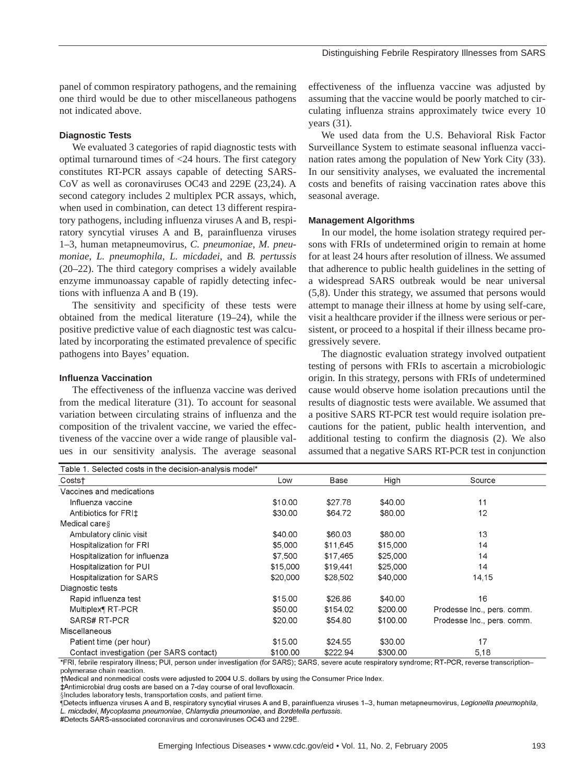panel of common respiratory pathogens, and the remaining one third would be due to other miscellaneous pathogens not indicated above.

#### **Diagnostic Tests**

We evaluated 3 categories of rapid diagnostic tests with optimal turnaround times of <24 hours. The first category constitutes RT-PCR assays capable of detecting SARS-CoV as well as coronaviruses OC43 and 229E (23,24). A second category includes 2 multiplex PCR assays, which, when used in combination, can detect 13 different respiratory pathogens, including influenza viruses A and B, respiratory syncytial viruses A and B, parainfluenza viruses 1–3, human metapneumovirus, *C. pneumoniae*, *M. pneumoniae*, *L. pneumophila*, *L. micdadei*, and *B. pertussis* (20–22). The third category comprises a widely available enzyme immunoassay capable of rapidly detecting infections with influenza A and B (19).

The sensitivity and specificity of these tests were obtained from the medical literature (19–24), while the positive predictive value of each diagnostic test was calculated by incorporating the estimated prevalence of specific pathogens into Bayes' equation.

#### **Influenza Vaccination**

The effectiveness of the influenza vaccine was derived from the medical literature (31). To account for seasonal variation between circulating strains of influenza and the composition of the trivalent vaccine, we varied the effectiveness of the vaccine over a wide range of plausible values in our sensitivity analysis. The average seasonal effectiveness of the influenza vaccine was adjusted by assuming that the vaccine would be poorly matched to circulating influenza strains approximately twice every 10 years (31).

We used data from the U.S. Behavioral Risk Factor Surveillance System to estimate seasonal influenza vaccination rates among the population of New York City (33). In our sensitivity analyses, we evaluated the incremental costs and benefits of raising vaccination rates above this seasonal average.

#### **Management Algorithms**

In our model, the home isolation strategy required persons with FRIs of undetermined origin to remain at home for at least 24 hours after resolution of illness. We assumed that adherence to public health guidelines in the setting of a widespread SARS outbreak would be near universal (5,8). Under this strategy, we assumed that persons would attempt to manage their illness at home by using self-care, visit a healthcare provider if the illness were serious or persistent, or proceed to a hospital if their illness became progressively severe.

The diagnostic evaluation strategy involved outpatient testing of persons with FRIs to ascertain a microbiologic origin. In this strategy, persons with FRIs of undetermined cause would observe home isolation precautions until the results of diagnostic tests were available. We assumed that a positive SARS RT-PCR test would require isolation precautions for the patient, public health intervention, and additional testing to confirm the diagnosis (2). We also assumed that a negative SARS RT-PCR test in conjunction

| Table 1. Selected costs in the decision-analysis model* |          |          |          |                            |
|---------------------------------------------------------|----------|----------|----------|----------------------------|
| Costs†                                                  | Low      | Base     | High     | Source                     |
| Vaccines and medications                                |          |          |          |                            |
| Influenza vaccine                                       | \$10.00  | \$27.78  | \$40.00  | 11                         |
| Antibiotics for FRI‡                                    | \$30.00  | \$64.72  | \$80.00  | 12                         |
| Medical cares                                           |          |          |          |                            |
| Ambulatory clinic visit                                 | \$40.00  | \$60.03  | \$80.00  | 13                         |
| Hospitalization for FRI                                 | \$5,000  | \$11,645 | \$15,000 | 14                         |
| Hospitalization for influenza                           | \$7,500  | \$17,465 | \$25,000 | 14                         |
| Hospitalization for PUI                                 | \$15,000 | \$19.441 | \$25,000 | 14                         |
| <b>Hospitalization for SARS</b>                         | \$20,000 | \$28,502 | \$40,000 | 14,15                      |
| Diagnostic tests                                        |          |          |          |                            |
| Rapid influenza test                                    | \$15.00  | \$26.86  | \$40.00  | 16                         |
| Multiplex¶ RT-PCR                                       | \$50.00  | \$154.02 | \$200.00 | Prodesse Inc., pers. comm. |
| SARS# RT-PCR                                            | \$20.00  | \$54.80  | \$100.00 | Prodesse Inc., pers. comm. |
| Miscellaneous                                           |          |          |          |                            |
| Patient time (per hour)                                 | \$15.00  | \$24.55  | \$30.00  | 17                         |
| Contact investigation (per SARS contact)                | \$100.00 | \$222.94 | \$300.00 | 5,18                       |

\*FRI, febrile respiratory illness; PUI, person under investigation (for SARS); SARS, severe acute respiratory syndrome; RT-PCR, reverse transcriptionpolymerase chain reaction.

†Medical and nonmedical costs were adjusted to 2004 U.S. dollars by using the Consumer Price Index.

#Antimicrobial drug costs are based on a 7-day course of oral levofloxacin.

§Includes laboratory tests, transportation costs, and patient time.

Netects influenza viruses A and B, respiratory syncytial viruses A and B, parainfluenza viruses 1–3, human metapneumovirus, Legionella pneumophila, L. micdadei, Mycoplasma pneumoniae, Chlamydia pneumoniae, and Bordetella pertussis.

#Detects SARS-associated coronavirus and coronaviruses OC43 and 229E.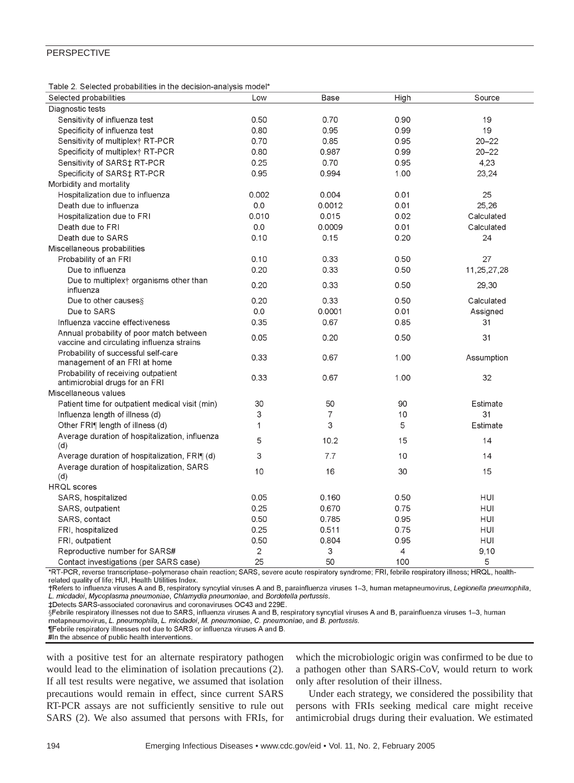|  |  | Table 2. Selected probabilities in the decision-analysis model* |  |
|--|--|-----------------------------------------------------------------|--|
|  |  |                                                                 |  |

| High<br>Selected probabilities<br>Base<br>Source<br>Low<br>Diagnostic tests                                         |  |
|---------------------------------------------------------------------------------------------------------------------|--|
|                                                                                                                     |  |
|                                                                                                                     |  |
| 0.90<br>Sensitivity of influenza test<br>0.50<br>0.70<br>19                                                         |  |
| 19<br>0.80<br>0.95<br>0.99<br>Specificity of influenza test                                                         |  |
| $20 - 22$<br>Sensitivity of multiplex† RT-PCR<br>0.70<br>0.85<br>0.95                                               |  |
| Specificity of multiplex† RT-PCR<br>0.80<br>0.987<br>0.99<br>$20 - 22$                                              |  |
| 0.70<br>4,23<br>Sensitivity of SARS‡ RT-PCR<br>0.25<br>0.95                                                         |  |
| 23,24<br>0.95<br>0.994<br>1.00<br>Specificity of SARS‡ RT-PCR                                                       |  |
| Morbidity and mortality                                                                                             |  |
| Hospitalization due to influenza<br>0.002<br>0.004<br>0.01<br>25                                                    |  |
| 25,26<br>0.0<br>0.01<br>Death due to influenza<br>0.0012                                                            |  |
| Hospitalization due to FRI<br>0.010<br>0.015<br>0.02<br>Calculated                                                  |  |
| 0.0<br>0.0009<br>Calculated<br>Death due to FRI<br>0.01                                                             |  |
| 0.10<br>0.20<br>24<br>Death due to SARS<br>0.15                                                                     |  |
| Miscellaneous probabilities                                                                                         |  |
| 27<br>0.10<br>0.33<br>0.50<br>Probability of an FRI                                                                 |  |
| 0.20<br>Due to influenza<br>0.33<br>0.50<br>11,25,27,28                                                             |  |
| Due to multiplex <sup>+</sup> organisms other than<br>0.20<br>0.33<br>0.50                                          |  |
| 29,30<br>influenza                                                                                                  |  |
| Due to other causes§<br>0.20<br>0.33<br>0.50<br>Calculated                                                          |  |
| 0.0001<br>Due to SARS<br>0.0<br>0.01<br>Assigned                                                                    |  |
| Influenza vaccine effectiveness<br>0.35<br>0.67<br>0.85<br>31                                                       |  |
| Annual probability of poor match between<br>0.05<br>0.20<br>0.50<br>31<br>vaccine and circulating influenza strains |  |
| Probability of successful self-care<br>0.33<br>0.67<br>1.00<br>Assumption<br>management of an FRI at home           |  |
| Probability of receiving outpatient<br>0.33<br>0.67<br>1.00<br>32<br>antimicrobial drugs for an FRI                 |  |
| Miscellaneous values                                                                                                |  |
| 30<br>50<br>90<br>Patient time for outpatient medical visit (min)<br>Estimate                                       |  |
| $\overline{7}$<br>3<br>10<br>31<br>Influenza length of illness (d)                                                  |  |
| 3<br>5<br>Other FRI¶ length of illness (d)<br>Estimate<br>1                                                         |  |
| Average duration of hospitalization, influenza<br>5<br>10.2<br>15<br>14<br>(d)                                      |  |
| 3<br>7.7<br>Average duration of hospitalization, FRI¶ (d)<br>10<br>14                                               |  |
| Average duration of hospitalization, SARS                                                                           |  |
| 10<br>16<br>30<br>15<br>(d)                                                                                         |  |
| <b>HRQL</b> scores                                                                                                  |  |
| <b>HUI</b><br>0.05<br>0.160<br>0.50<br>SARS, hospitalized                                                           |  |
| 0.25<br>0.670<br>0.75<br><b>HUI</b><br>SARS, outpatient                                                             |  |
| 0.50<br>0.785<br>0.95<br>HUI<br>SARS, contact                                                                       |  |
| 0.25<br>FRI, hospitalized<br>0.511<br>0.75<br>HUI                                                                   |  |
| 0.50<br>0.95<br>HUI<br>FRI, outpatient<br>0.804                                                                     |  |
| $\mathbf{2}$<br>3<br>4<br>9,10<br>Reproductive number for SARS#                                                     |  |
| 50<br>5<br>25<br>100<br>Contact investigations (per SARS case)                                                      |  |

\*RT-PCR, reverse transcriptase-polymerase chain reaction; SARS, severe acute respiratory syndrome; FRI, febrile respiratory illness; HRQL, healthrelated quality of life; HUI, Health Utilities Index.

†Refers to influenza viruses A and B, respiratory syncytial viruses A and B, parainfluenza viruses 1-3, human metapneumovirus, Legionella pneumophila, L. micdadei, Mycoplasma pneumoniae, Chlamydia pneumoniae, and Bordetella pertussis.

‡Detects SARS-associated coronavirus and coronaviruses OC43 and 229E.

§Febrile respiratory illnesses not due to SARS, influenza viruses A and B, respiratory syncytial viruses A and B, parainfluenza viruses 1–3, human metapneumovirus, L. pneumophila, L. micdadei, M. pneumoniae, C. pneumoniae, and B. pertussis.

¶Febrile respiratory illnesses not due to SARS or influenza viruses A and B.

#In the absence of public health interventions.

with a positive test for an alternate respiratory pathogen would lead to the elimination of isolation precautions (2). If all test results were negative, we assumed that isolation precautions would remain in effect, since current SARS RT-PCR assays are not sufficiently sensitive to rule out SARS (2). We also assumed that persons with FRIs, for which the microbiologic origin was confirmed to be due to a pathogen other than SARS-CoV, would return to work only after resolution of their illness.

Under each strategy, we considered the possibility that persons with FRIs seeking medical care might receive antimicrobial drugs during their evaluation. We estimated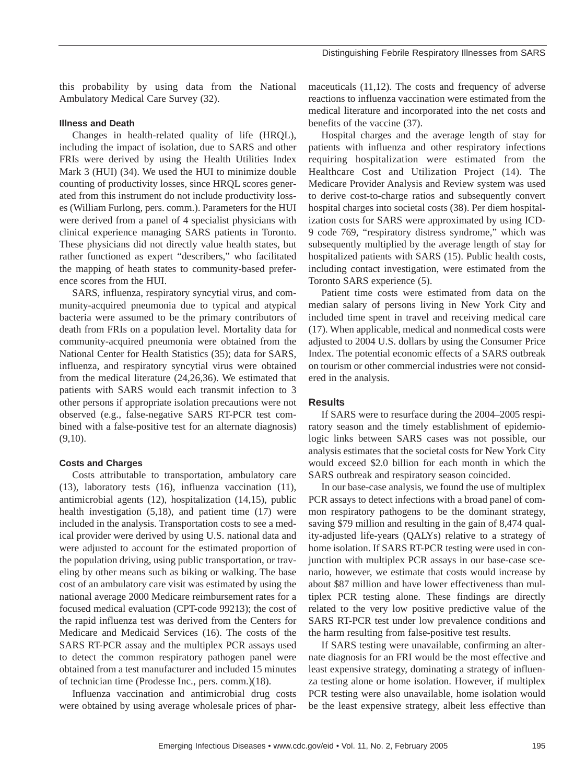this probability by using data from the National Ambulatory Medical Care Survey (32).

### **Illness and Death**

Changes in health-related quality of life (HRQL), including the impact of isolation, due to SARS and other FRIs were derived by using the Health Utilities Index Mark 3 (HUI) (34). We used the HUI to minimize double counting of productivity losses, since HRQL scores generated from this instrument do not include productivity losses (William Furlong, pers. comm.). Parameters for the HUI were derived from a panel of 4 specialist physicians with clinical experience managing SARS patients in Toronto. These physicians did not directly value health states, but rather functioned as expert "describers," who facilitated the mapping of heath states to community-based preference scores from the HUI.

SARS, influenza, respiratory syncytial virus, and community-acquired pneumonia due to typical and atypical bacteria were assumed to be the primary contributors of death from FRIs on a population level. Mortality data for community-acquired pneumonia were obtained from the National Center for Health Statistics (35); data for SARS, influenza, and respiratory syncytial virus were obtained from the medical literature (24,26,36). We estimated that patients with SARS would each transmit infection to 3 other persons if appropriate isolation precautions were not observed (e.g., false-negative SARS RT-PCR test combined with a false-positive test for an alternate diagnosis)  $(9,10)$ .

#### **Costs and Charges**

Costs attributable to transportation, ambulatory care (13), laboratory tests (16), influenza vaccination (11), antimicrobial agents (12), hospitalization (14,15), public health investigation (5,18), and patient time (17) were included in the analysis. Transportation costs to see a medical provider were derived by using U.S. national data and were adjusted to account for the estimated proportion of the population driving, using public transportation, or traveling by other means such as biking or walking. The base cost of an ambulatory care visit was estimated by using the national average 2000 Medicare reimbursement rates for a focused medical evaluation (CPT-code 99213); the cost of the rapid influenza test was derived from the Centers for Medicare and Medicaid Services (16). The costs of the SARS RT-PCR assay and the multiplex PCR assays used to detect the common respiratory pathogen panel were obtained from a test manufacturer and included 15 minutes of technician time (Prodesse Inc., pers. comm.)(18).

Influenza vaccination and antimicrobial drug costs were obtained by using average wholesale prices of pharmaceuticals (11,12). The costs and frequency of adverse reactions to influenza vaccination were estimated from the medical literature and incorporated into the net costs and benefits of the vaccine (37).

Hospital charges and the average length of stay for patients with influenza and other respiratory infections requiring hospitalization were estimated from the Healthcare Cost and Utilization Project (14). The Medicare Provider Analysis and Review system was used to derive cost-to-charge ratios and subsequently convert hospital charges into societal costs (38). Per diem hospitalization costs for SARS were approximated by using ICD-9 code 769, "respiratory distress syndrome," which was subsequently multiplied by the average length of stay for hospitalized patients with SARS (15). Public health costs, including contact investigation, were estimated from the Toronto SARS experience (5).

Patient time costs were estimated from data on the median salary of persons living in New York City and included time spent in travel and receiving medical care (17). When applicable, medical and nonmedical costs were adjusted to 2004 U.S. dollars by using the Consumer Price Index. The potential economic effects of a SARS outbreak on tourism or other commercial industries were not considered in the analysis.

### **Results**

If SARS were to resurface during the 2004–2005 respiratory season and the timely establishment of epidemiologic links between SARS cases was not possible, our analysis estimates that the societal costs for New York City would exceed \$2.0 billion for each month in which the SARS outbreak and respiratory season coincided.

In our base-case analysis, we found the use of multiplex PCR assays to detect infections with a broad panel of common respiratory pathogens to be the dominant strategy, saving \$79 million and resulting in the gain of 8,474 quality-adjusted life-years (QALYs) relative to a strategy of home isolation. If SARS RT-PCR testing were used in conjunction with multiplex PCR assays in our base-case scenario, however, we estimate that costs would increase by about \$87 million and have lower effectiveness than multiplex PCR testing alone. These findings are directly related to the very low positive predictive value of the SARS RT-PCR test under low prevalence conditions and the harm resulting from false-positive test results.

If SARS testing were unavailable, confirming an alternate diagnosis for an FRI would be the most effective and least expensive strategy, dominating a strategy of influenza testing alone or home isolation. However, if multiplex PCR testing were also unavailable, home isolation would be the least expensive strategy, albeit less effective than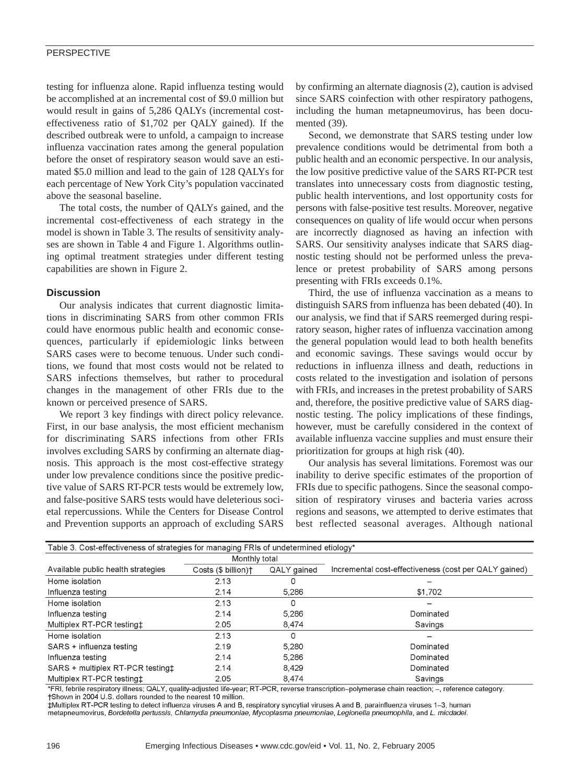testing for influenza alone. Rapid influenza testing would be accomplished at an incremental cost of \$9.0 million but would result in gains of 5,286 QALYs (incremental costeffectiveness ratio of \$1,702 per QALY gained). If the described outbreak were to unfold, a campaign to increase influenza vaccination rates among the general population before the onset of respiratory season would save an estimated \$5.0 million and lead to the gain of 128 QALYs for each percentage of New York City's population vaccinated above the seasonal baseline.

The total costs, the number of QALYs gained, and the incremental cost-effectiveness of each strategy in the model is shown in Table 3. The results of sensitivity analyses are shown in Table 4 and Figure 1. Algorithms outlining optimal treatment strategies under different testing capabilities are shown in Figure 2.

## **Discussion**

Our analysis indicates that current diagnostic limitations in discriminating SARS from other common FRIs could have enormous public health and economic consequences, particularly if epidemiologic links between SARS cases were to become tenuous. Under such conditions, we found that most costs would not be related to SARS infections themselves, but rather to procedural changes in the management of other FRIs due to the known or perceived presence of SARS.

We report 3 key findings with direct policy relevance. First, in our base analysis, the most efficient mechanism for discriminating SARS infections from other FRIs involves excluding SARS by confirming an alternate diagnosis. This approach is the most cost-effective strategy under low prevalence conditions since the positive predictive value of SARS RT-PCR tests would be extremely low, and false-positive SARS tests would have deleterious societal repercussions. While the Centers for Disease Control and Prevention supports an approach of excluding SARS by confirming an alternate diagnosis (2), caution is advised since SARS coinfection with other respiratory pathogens, including the human metapneumovirus, has been documented (39).

Second, we demonstrate that SARS testing under low prevalence conditions would be detrimental from both a public health and an economic perspective. In our analysis, the low positive predictive value of the SARS RT-PCR test translates into unnecessary costs from diagnostic testing, public health interventions, and lost opportunity costs for persons with false-positive test results. Moreover, negative consequences on quality of life would occur when persons are incorrectly diagnosed as having an infection with SARS. Our sensitivity analyses indicate that SARS diagnostic testing should not be performed unless the prevalence or pretest probability of SARS among persons presenting with FRIs exceeds 0.1%.

Third, the use of influenza vaccination as a means to distinguish SARS from influenza has been debated (40). In our analysis, we find that if SARS reemerged during respiratory season, higher rates of influenza vaccination among the general population would lead to both health benefits and economic savings. These savings would occur by reductions in influenza illness and death, reductions in costs related to the investigation and isolation of persons with FRIs, and increases in the pretest probability of SARS and, therefore, the positive predictive value of SARS diagnostic testing. The policy implications of these findings, however, must be carefully considered in the context of available influenza vaccine supplies and must ensure their prioritization for groups at high risk (40).

Our analysis has several limitations. Foremost was our inability to derive specific estimates of the proportion of FRIs due to specific pathogens. Since the seasonal composition of respiratory viruses and bacteria varies across regions and seasons, we attempted to derive estimates that best reflected seasonal averages. Although national

| Table 3. Cost-effectiveness of strategies for managing FRIs of undetermined etiology* |                     |             |                                                       |
|---------------------------------------------------------------------------------------|---------------------|-------------|-------------------------------------------------------|
|                                                                                       | Monthly total       |             |                                                       |
| Available public health strategies                                                    | Costs (\$ billion)+ | QALY gained | Incremental cost-effectiveness (cost per QALY gained) |
| Home isolation                                                                        | 2.13                |             |                                                       |
| Influenza testing                                                                     | 2.14                | 5.286       | \$1,702                                               |
| Home isolation                                                                        | 2.13                | 0           |                                                       |
| Influenza testing                                                                     | 2.14                | 5,286       | Dominated                                             |
| Multiplex RT-PCR testingt                                                             | 2.05                | 8,474       | Savings                                               |
| Home isolation                                                                        | 2.13                | 0           |                                                       |
| SARS + influenza testing                                                              | 2.19                | 5.280       | Dominated                                             |
| Influenza testing                                                                     | 2.14                | 5.286       | Dominated                                             |
| SARS + multiplex RT-PCR testingt                                                      | 2.14                | 8,429       | Dominated                                             |
| Multiplex RT-PCR testingt                                                             | 2.05                | 8.474       | Savings                                               |

\*FRI, febrile respiratory illness; QALY, quality-adjusted life-year; RT-PCR, reverse transcription-polymerase chain reaction; -, reference category. †Shown in 2004 U.S. dollars rounded to the nearest 10 million.

tMultiplex RT-PCR testing to detect influenza viruses A and B, respiratory syncytial viruses A and B, parainfluenza viruses 1–3, human metapneumovirus, Bordetella pertussis, Chlamydia pneumoniae, Mycoplasma pneumoniae, Legionella pneumophila, and L. micdadei.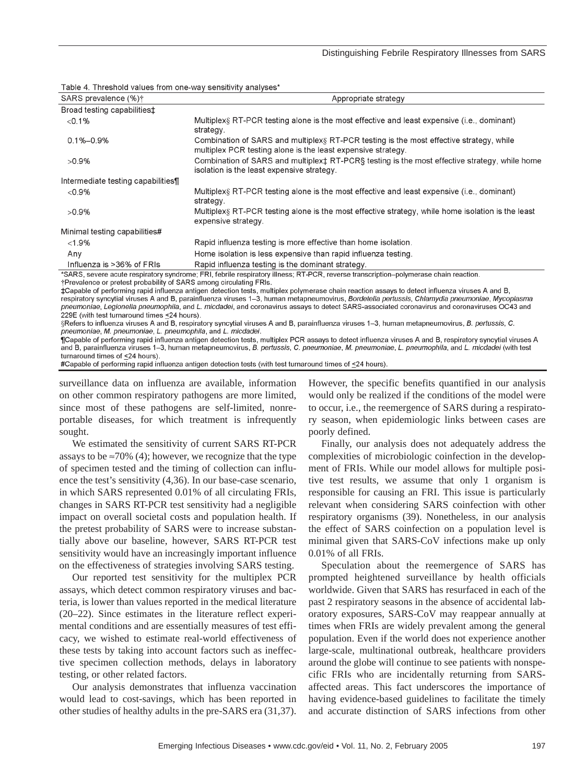| SARS prevalence (%) <sup>†</sup>                                   | Appropriate strategy                                                                                                                                                                                                                                                                                                                                                                                                                               |
|--------------------------------------------------------------------|----------------------------------------------------------------------------------------------------------------------------------------------------------------------------------------------------------------------------------------------------------------------------------------------------------------------------------------------------------------------------------------------------------------------------------------------------|
| Broad testing capabilities <sup>+</sup>                            |                                                                                                                                                                                                                                                                                                                                                                                                                                                    |
| < 0.1%                                                             | Multiplex§ RT-PCR testing alone is the most effective and least expensive (i.e., dominant)<br>strategy.                                                                                                                                                                                                                                                                                                                                            |
| $0.1\% - 0.9\%$                                                    | Combination of SARS and multiplex <sub>§</sub> RT-PCR testing is the most effective strategy, while<br>multiplex PCR testing alone is the least expensive strategy.                                                                                                                                                                                                                                                                                |
| $>0.9\%$                                                           | Combination of SARS and multiplex <sup>+</sup> RT-PCR§ testing is the most effective strategy, while home<br>isolation is the least expensive strategy.                                                                                                                                                                                                                                                                                            |
| Intermediate testing capabilities¶                                 |                                                                                                                                                                                                                                                                                                                                                                                                                                                    |
| $&0.9\%$                                                           | Multiplex§ RT-PCR testing alone is the most effective and least expensive (i.e., dominant)<br>strategy.                                                                                                                                                                                                                                                                                                                                            |
| $>0.9\%$                                                           | Multiplex§ RT-PCR testing alone is the most effective strategy, while home isolation is the least<br>expensive strategy.                                                                                                                                                                                                                                                                                                                           |
| Minimal testing capabilities#                                      |                                                                                                                                                                                                                                                                                                                                                                                                                                                    |
| $<$ 1.9%                                                           | Rapid influenza testing is more effective than home isolation.                                                                                                                                                                                                                                                                                                                                                                                     |
| Any                                                                | Home isolation is less expensive than rapid influenza testing.                                                                                                                                                                                                                                                                                                                                                                                     |
| Influenza is >36% of FRIs                                          | Rapid influenza testing is the dominant strategy.                                                                                                                                                                                                                                                                                                                                                                                                  |
| *Prevalence or pretest probability of SARS among circulating FRIs. | *SARS, severe acute respiratory syndrome; FRI, febrile respiratory illness; RT-PCR, reverse transcription-polymerase chain reaction.                                                                                                                                                                                                                                                                                                               |
| 229E (with test turnaround times <24 hours).                       | ‡Capable of performing rapid influenza antigen detection tests, multiplex polymerase chain reaction assays to detect influenza viruses A and B,<br>respiratory syncytial viruses A and B, parainfluenza viruses 1–3, human metapneumovirus, Bordetella pertussis, Chlamydia pneumoniae, Mycoplasma<br>pneumoniae, Legionella pneumophila, and L. micdadei, and coronavirus assays to detect SARS-associated coronavirus and coronaviruses OC43 and |

Table 4. Threshold values from one-way sensitivity analyses\*

§Refers to influenza viruses A and B, respiratory syncytial viruses A and B, parainfluenza viruses 1–3, human metapneumovirus, B. pertussis, C. pneumoniae, M. pneumoniae, L. pneumophila, and L. micdadei.

TCapable of performing rapid influenza antigen detection tests, multiplex PCR assays to detect influenza viruses A and B, respiratory syncytial viruses A and B, parainfluenza viruses 1–3, human metapneumovirus, *B. pertussis, C. pneumoniae, M. pneumoniae, L. pneumophila,* and *L. micdadei* (with test turnaround times of <24 hours)

#Capable of performing rapid influenza antigen detection tests (with test turnaround times of <24 hours)

surveillance data on influenza are available, information on other common respiratory pathogens are more limited, since most of these pathogens are self-limited, nonreportable diseases, for which treatment is infrequently sought.

We estimated the sensitivity of current SARS RT-PCR assays to be  $\approx$ 70% (4); however, we recognize that the type of specimen tested and the timing of collection can influence the test's sensitivity (4,36). In our base-case scenario, in which SARS represented 0.01% of all circulating FRIs, changes in SARS RT-PCR test sensitivity had a negligible impact on overall societal costs and population health. If the pretest probability of SARS were to increase substantially above our baseline, however, SARS RT-PCR test sensitivity would have an increasingly important influence on the effectiveness of strategies involving SARS testing.

Our reported test sensitivity for the multiplex PCR assays, which detect common respiratory viruses and bacteria, is lower than values reported in the medical literature (20–22). Since estimates in the literature reflect experimental conditions and are essentially measures of test efficacy, we wished to estimate real-world effectiveness of these tests by taking into account factors such as ineffective specimen collection methods, delays in laboratory testing, or other related factors.

Our analysis demonstrates that influenza vaccination would lead to cost-savings, which has been reported in other studies of healthy adults in the pre-SARS era (31,37). However, the specific benefits quantified in our analysis would only be realized if the conditions of the model were to occur, i.e., the reemergence of SARS during a respiratory season, when epidemiologic links between cases are poorly defined.

Finally, our analysis does not adequately address the complexities of microbiologic coinfection in the development of FRIs. While our model allows for multiple positive test results, we assume that only 1 organism is responsible for causing an FRI. This issue is particularly relevant when considering SARS coinfection with other respiratory organisms (39). Nonetheless, in our analysis the effect of SARS coinfection on a population level is minimal given that SARS-CoV infections make up only 0.01% of all FRIs.

Speculation about the reemergence of SARS has prompted heightened surveillance by health officials worldwide. Given that SARS has resurfaced in each of the past 2 respiratory seasons in the absence of accidental laboratory exposures, SARS-CoV may reappear annually at times when FRIs are widely prevalent among the general population. Even if the world does not experience another large-scale, multinational outbreak, healthcare providers around the globe will continue to see patients with nonspecific FRIs who are incidentally returning from SARSaffected areas. This fact underscores the importance of having evidence-based guidelines to facilitate the timely and accurate distinction of SARS infections from other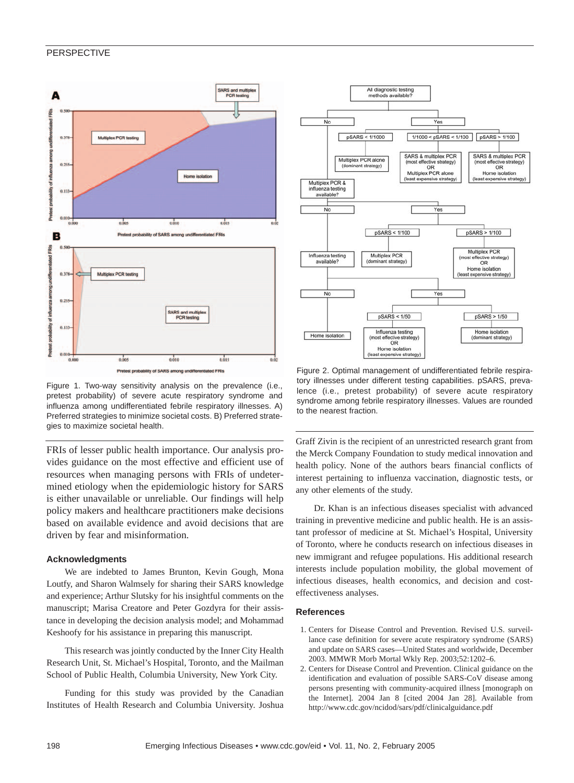

Figure 1. Two-way sensitivity analysis on the prevalence (i.e., pretest probability) of severe acute respiratory syndrome and influenza among undifferentiated febrile respiratory illnesses. A) Preferred strategies to minimize societal costs. B) Preferred strategies to maximize societal health.

FRIs of lesser public health importance. Our analysis provides guidance on the most effective and efficient use of resources when managing persons with FRIs of undetermined etiology when the epidemiologic history for SARS is either unavailable or unreliable. Our findings will help policy makers and healthcare practitioners make decisions based on available evidence and avoid decisions that are driven by fear and misinformation.

#### **Acknowledgments**

We are indebted to James Brunton, Kevin Gough, Mona Loutfy, and Sharon Walmsely for sharing their SARS knowledge and experience; Arthur Slutsky for his insightful comments on the manuscript; Marisa Creatore and Peter Gozdyra for their assistance in developing the decision analysis model; and Mohammad Keshoofy for his assistance in preparing this manuscript.

This research was jointly conducted by the Inner City Health Research Unit, St. Michael's Hospital, Toronto, and the Mailman School of Public Health, Columbia University, New York City.

Funding for this study was provided by the Canadian Institutes of Health Research and Columbia University. Joshua



Figure 2. Optimal management of undifferentiated febrile respiratory illnesses under different testing capabilities. pSARS, prevalence (i.e., pretest probability) of severe acute respiratory syndrome among febrile respiratory illnesses. Values are rounded to the nearest fraction.

Graff Zivin is the recipient of an unrestricted research grant from the Merck Company Foundation to study medical innovation and health policy. None of the authors bears financial conflicts of interest pertaining to influenza vaccination, diagnostic tests, or any other elements of the study.

Dr. Khan is an infectious diseases specialist with advanced training in preventive medicine and public health. He is an assistant professor of medicine at St. Michael's Hospital, University of Toronto, where he conducts research on infectious diseases in new immigrant and refugee populations. His additional research interests include population mobility, the global movement of infectious diseases, health economics, and decision and costeffectiveness analyses.

#### **References**

- 1. Centers for Disease Control and Prevention. Revised U.S. surveillance case definition for severe acute respiratory syndrome (SARS) and update on SARS cases—United States and worldwide, December 2003. MMWR Morb Mortal Wkly Rep. 2003;52:1202–6.
- 2. Centers for Disease Control and Prevention. Clinical guidance on the identification and evaluation of possible SARS-CoV disease among persons presenting with community-acquired illness [monograph on the Internet]. 2004 Jan 8 [cited 2004 Jan 28]. Available from http://www.cdc.gov/ncidod/sars/pdf/clinicalguidance.pdf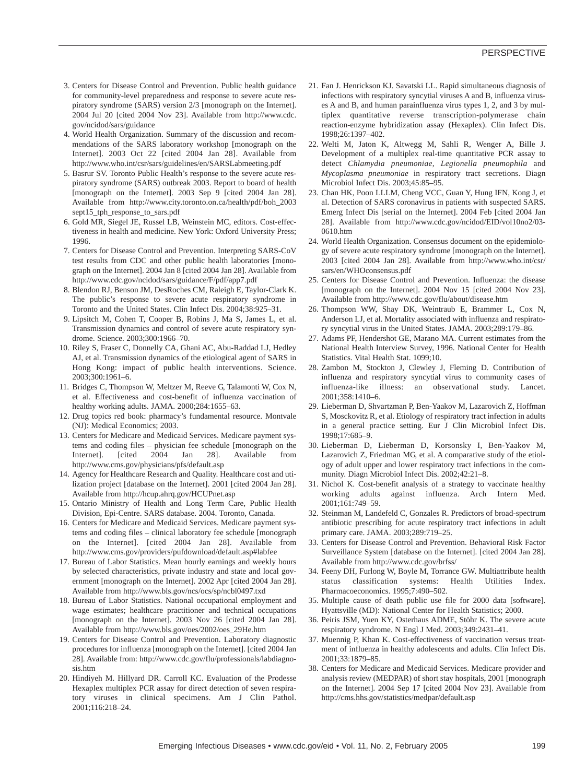- 3. Centers for Disease Control and Prevention. Public health guidance for community-level preparedness and response to severe acute respiratory syndrome (SARS) version 2/3 [monograph on the Internet]. 2004 Jul 20 [cited 2004 Nov 23]. Available from http://www.cdc. gov/ncidod/sars/guidance
- 4. World Health Organization. Summary of the discussion and recommendations of the SARS laboratory workshop [monograph on the Internet]. 2003 Oct 22 [cited 2004 Jan 28]. Available from http://www.who.int/csr/sars/guidelines/en/SARSLabmeeting.pdf
- 5. Basrur SV. Toronto Public Health's response to the severe acute respiratory syndrome (SARS) outbreak 2003. Report to board of health [monograph on the Internet]. 2003 Sep 9 [cited 2004 Jan 28]. Available from http://www.city.toronto.on.ca/health/pdf/boh\_2003 sept15\_tph\_response\_to\_sars.pdf
- 6. Gold MR, Siegel JE, Russel LB, Weinstein MC, editors. Cost-effectiveness in health and medicine. New York: Oxford University Press; 1996.
- 7. Centers for Disease Control and Prevention. Interpreting SARS-CoV test results from CDC and other public health laboratories [monograph on the Internet]. 2004 Jan 8 [cited 2004 Jan 28]. Available from http://www.cdc.gov/ncidod/sars/guidance/F/pdf/app7.pdf
- 8. Blendon RJ, Benson JM, DesRoches CM, Raleigh E, Taylor-Clark K. The public's response to severe acute respiratory syndrome in Toronto and the United States. Clin Infect Dis. 2004;38:925–31.
- 9. Lipsitch M, Cohen T, Cooper B, Robins J, Ma S, James L, et al. Transmission dynamics and control of severe acute respiratory syndrome. Science. 2003;300:1966–70.
- 10. Riley S, Fraser C, Donnelly CA, Ghani AC, Abu-Raddad LJ, Hedley AJ, et al. Transmission dynamics of the etiological agent of SARS in Hong Kong: impact of public health interventions. Science. 2003;300:1961–6.
- 11. Bridges C, Thompson W, Meltzer M, Reeve G, Talamonti W, Cox N, et al. Effectiveness and cost-benefit of influenza vaccination of healthy working adults. JAMA. 2000;284:1655–63.
- 12. Drug topics red book: pharmacy's fundamental resource. Montvale (NJ): Medical Economics; 2003.
- 13. Centers for Medicare and Medicaid Services. Medicare payment systems and coding files – physician fee schedule [monograph on the Internet]. [cited 2004 Jan 28]. Available from http://www.cms.gov/physicians/pfs/default.asp
- 14. Agency for Healthcare Research and Quality. Healthcare cost and utilization project [database on the Internet]. 2001 [cited 2004 Jan 28]. Available from http://hcup.ahrq.gov/HCUPnet.asp
- 15. Ontario Ministry of Health and Long Term Care, Public Health Division, Epi-Centre. SARS database. 2004. Toronto, Canada.
- 16. Centers for Medicare and Medicaid Services. Medicare payment systems and coding files – clinical laboratory fee schedule [monograph on the Internet]. [cited 2004 Jan 28]. Available from http://www.cms.gov/providers/pufdownload/default.asp#labfee
- 17. Bureau of Labor Statistics. Mean hourly earnings and weekly hours by selected characteristics, private industry and state and local government [monograph on the Internet]. 2002 Apr [cited 2004 Jan 28]. Available from http://www.bls.gov/ncs/ocs/sp/ncbl0497.txd
- 18. Bureau of Labor Statistics. National occupational employment and wage estimates; healthcare practitioner and technical occupations [monograph on the Internet]. 2003 Nov 26 [cited 2004 Jan 28]. Available from http://www.bls.gov/oes/2002/oes\_29He.htm
- 19. Centers for Disease Control and Prevention. Laboratory diagnostic procedures for influenza [monograph on the Internet]. [cited 2004 Jan 28]. Available from: http://www.cdc.gov/flu/professionals/labdiagnosis.htm
- 20. Hindiyeh M. Hillyard DR. Carroll KC. Evaluation of the Prodesse Hexaplex multiplex PCR assay for direct detection of seven respiratory viruses in clinical specimens. Am J Clin Pathol. 2001;116:218–24.
- 21. Fan J. Henrickson KJ. Savatski LL. Rapid simultaneous diagnosis of infections with respiratory syncytial viruses A and B, influenza viruses A and B, and human parainfluenza virus types 1, 2, and 3 by multiplex quantitative reverse transcription-polymerase chain reaction-enzyme hybridization assay (Hexaplex). Clin Infect Dis. 1998;26:1397–402.
- 22. Welti M, Jaton K, Altwegg M, Sahli R, Wenger A, Bille J. Development of a multiplex real-time quantitative PCR assay to detect *Chlamydia pneumoniae*, *Legionella pneumophila* and *Mycoplasma pneumoniae* in respiratory tract secretions. Diagn Microbiol Infect Dis. 2003;45:85–95.
- 23. Chan HK, Poon LLLM, Cheng VCC, Guan Y, Hung IFN, Kong J, et al. Detection of SARS coronavirus in patients with suspected SARS. Emerg Infect Dis [serial on the Internet]. 2004 Feb [cited 2004 Jan 28]. Available from http://www.cdc.gov/ncidod/EID/vol10no2/03- 0610.htm
- 24. World Health Organization. Consensus document on the epidemiology of severe acute respiratory syndrome [monograph on the Internet]. 2003 [cited 2004 Jan 28]. Available from http://www.who.int/csr/ sars/en/WHOconsensus.pdf
- 25. Centers for Disease Control and Prevention. Influenza: the disease [monograph on the Internet]. 2004 Nov 15 [cited 2004 Nov 23]. Available from http://www.cdc.gov/flu/about/disease.htm
- 26. Thompson WW, Shay DK, Weintraub E, Brammer L, Cox N, Anderson LJ, et al. Mortality associated with influenza and respiratory syncytial virus in the United States. JAMA. 2003;289:179–86.
- 27. Adams PF, Hendershot GE, Marano MA. Current estimates from the National Health Interview Survey, 1996. National Center for Health Statistics. Vital Health Stat. 1099;10.
- 28. Zambon M, Stockton J, Clewley J, Fleming D. Contribution of influenza and respiratory syncytial virus to community cases of influenza-like illness: an observational study. Lancet. 2001;358:1410–6.
- 29. Lieberman D, Shvartzman P, Ben-Yaakov M, Lazarovich Z, Hoffman S, Mosckovitz R, et al. Etiology of respiratory tract infection in adults in a general practice setting. Eur J Clin Microbiol Infect Dis. 1998;17:685–9.
- 30. Lieberman D, Lieberman D, Korsonsky I, Ben-Yaakov M, Lazarovich Z, Friedman MG, et al. A comparative study of the etiology of adult upper and lower respiratory tract infections in the community. Diagn Microbiol Infect Dis. 2002;42:21–8.
- 31. Nichol K. Cost-benefit analysis of a strategy to vaccinate healthy working adults against influenza. Arch Intern Med. 2001;161:749–59.
- 32. Steinman M, Landefeld C, Gonzales R. Predictors of broad-spectrum antibiotic prescribing for acute respiratory tract infections in adult primary care. JAMA. 2003;289:719–25.
- 33. Centers for Disease Control and Prevention. Behavioral Risk Factor Surveillance System [database on the Internet]. [cited 2004 Jan 28]. Available from http://www.cdc.gov/brfss/
- 34. Feeny DH, Furlong W, Boyle M, Torrance GW. Multiattribute health status classification systems: Health Utilities Index. Pharmacoeconomics. 1995;7:490–502.
- 35. Multiple cause of death public use file for 2000 data [software]. Hyattsville (MD): National Center for Health Statistics; 2000.
- 36. Peiris JSM, Yuen KY, Osterhaus ADME, Stöhr K. The severe acute respiratory syndrome. N Engl J Med. 2003;349:2431–41.
- 37. Muennig P, Khan K. Cost-effectiveness of vaccination versus treatment of influenza in healthy adolescents and adults. Clin Infect Dis. 2001;33:1879–85.
- 38. Centers for Medicare and Medicaid Services. Medicare provider and analysis review (MEDPAR) of short stay hospitals, 2001 [monograph on the Internet]. 2004 Sep 17 [cited 2004 Nov 23]. Available from http://cms.hhs.gov/statistics/medpar/default.asp